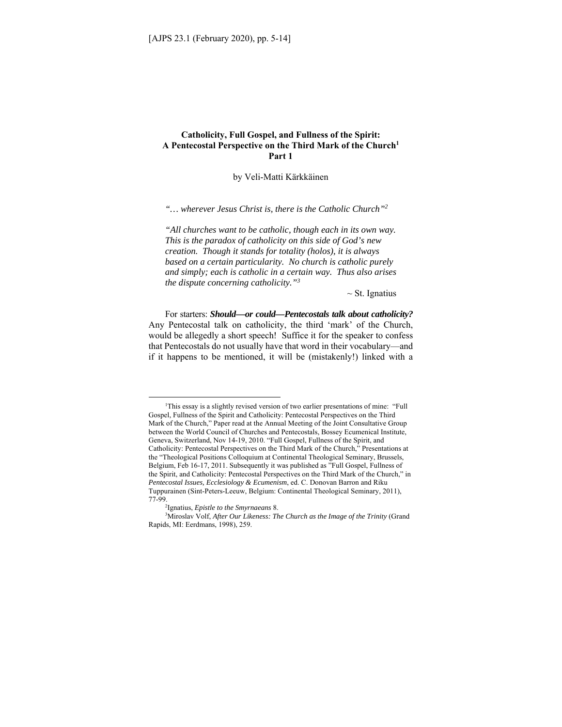# **Catholicity, Full Gospel, and Fullness of the Spirit: A Pentecostal Perspective on the Third Mark of the Church1 Part 1**

by Veli-Matti Kärkkäinen

*"… wherever Jesus Christ is, there is the Catholic Church"2* 

*"All churches want to be catholic, though each in its own way. This is the paradox of catholicity on this side of God's new creation. Though it stands for totality (holos), it is always based on a certain particularity. No church is catholic purely and simply; each is catholic in a certain way. Thus also arises the dispute concerning catholicity."3* 

 $\sim$  St. Ignatius

For starters: *Should—or could—Pentecostals talk about catholicity?* Any Pentecostal talk on catholicity, the third 'mark' of the Church, would be allegedly a short speech! Suffice it for the speaker to confess that Pentecostals do not usually have that word in their vocabulary—and if it happens to be mentioned, it will be (mistakenly!) linked with a

<sup>&</sup>lt;sup>1</sup>This essay is a slightly revised version of two earlier presentations of mine: "Full Gospel, Fullness of the Spirit and Catholicity: Pentecostal Perspectives on the Third Mark of the Church," Paper read at the Annual Meeting of the Joint Consultative Group between the World Council of Churches and Pentecostals, Bossey Ecumenical Institute, Geneva, Switzerland, Nov 14-19, 2010. "Full Gospel, Fullness of the Spirit, and Catholicity: Pentecostal Perspectives on the Third Mark of the Church," Presentations at the "Theological Positions Colloquium at Continental Theological Seminary, Brussels, Belgium, Feb 16-17, 2011. Subsequently it was published as "Full Gospel, Fullness of the Spirit, and Catholicity: Pentecostal Perspectives on the Third Mark of the Church," in *Pentecostal Issues, Ecclesiology & Ecumenism*, ed. C. Donovan Barron and Riku Tuppurainen (Sint-Peters-Leeuw, Belgium: Continental Theological Seminary, 2011), 77-99. 2

<sup>&</sup>lt;sup>2</sup>Ignatius, *Epistle to the Smyrnaeans* 8.

<sup>&</sup>lt;sup>3</sup>Miroslav Volf, *After Our Likeness: The Church as the Image of the Trinity* (Grand Rapids, MI: Eerdmans, 1998), 259.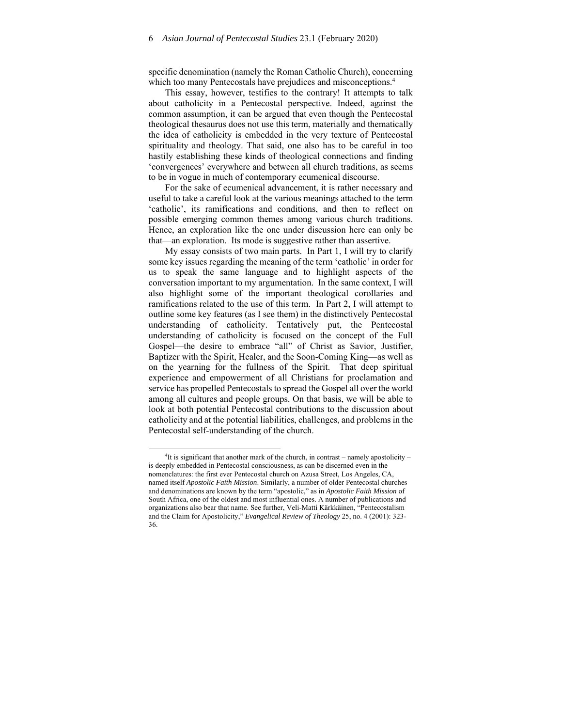specific denomination (namely the Roman Catholic Church), concerning which too many Pentecostals have prejudices and misconceptions.<sup>4</sup>

This essay, however, testifies to the contrary! It attempts to talk about catholicity in a Pentecostal perspective. Indeed, against the common assumption, it can be argued that even though the Pentecostal theological thesaurus does not use this term, materially and thematically the idea of catholicity is embedded in the very texture of Pentecostal spirituality and theology. That said, one also has to be careful in too hastily establishing these kinds of theological connections and finding 'convergences' everywhere and between all church traditions, as seems to be in vogue in much of contemporary ecumenical discourse.

For the sake of ecumenical advancement, it is rather necessary and useful to take a careful look at the various meanings attached to the term 'catholic', its ramifications and conditions, and then to reflect on possible emerging common themes among various church traditions. Hence, an exploration like the one under discussion here can only be that—an exploration. Its mode is suggestive rather than assertive.

My essay consists of two main parts. In Part 1, I will try to clarify some key issues regarding the meaning of the term 'catholic' in order for us to speak the same language and to highlight aspects of the conversation important to my argumentation. In the same context, I will also highlight some of the important theological corollaries and ramifications related to the use of this term. In Part 2, I will attempt to outline some key features (as I see them) in the distinctively Pentecostal understanding of catholicity. Tentatively put, the Pentecostal understanding of catholicity is focused on the concept of the Full Gospel—the desire to embrace "all" of Christ as Savior, Justifier, Baptizer with the Spirit, Healer, and the Soon-Coming King—as well as on the yearning for the fullness of the Spirit. That deep spiritual experience and empowerment of all Christians for proclamation and service has propelled Pentecostals to spread the Gospel all over the world among all cultures and people groups. On that basis, we will be able to look at both potential Pentecostal contributions to the discussion about catholicity and at the potential liabilities, challenges, and problems in the Pentecostal self-understanding of the church.

 ${}^{4}$ It is significant that another mark of the church, in contrast – namely apostolicity – is deeply embedded in Pentecostal consciousness, as can be discerned even in the nomenclatures: the first ever Pentecostal church on Azusa Street, Los Angeles, CA, named itself *Apostolic Faith Mission*. Similarly, a number of older Pentecostal churches and denominations are known by the term "apostolic," as in *Apostolic Faith Mission* of South Africa, one of the oldest and most influential ones. A number of publications and organizations also bear that name. See further, Veli-Matti Kärkkäinen, "Pentecostalism and the Claim for Apostolicity," *Evangelical Review of Theology* 25, no. 4 (2001): 323- 36.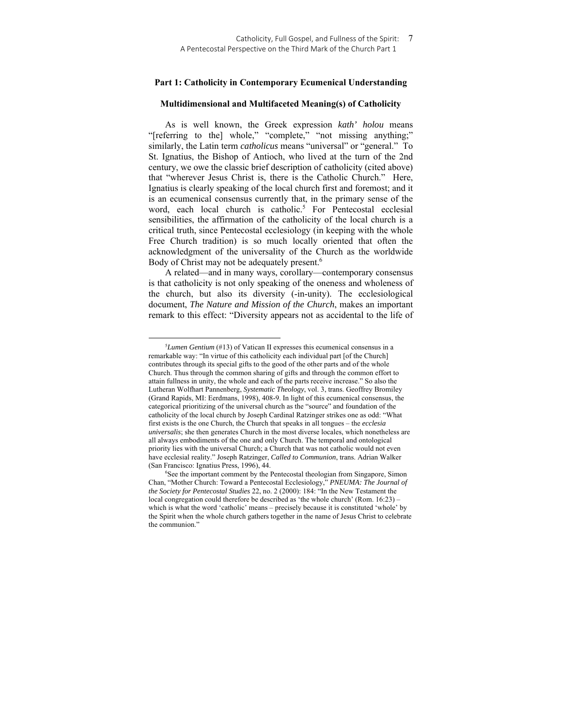### **Part 1: Catholicity in Contemporary Ecumenical Understanding**

#### **Multidimensional and Multifaceted Meaning(s) of Catholicity**

As is well known, the Greek expression *kath' holou* means "[referring to the] whole," "complete," "not missing anything;" similarly, the Latin term *catholicus* means "universal" or "general." To St. Ignatius, the Bishop of Antioch, who lived at the turn of the 2nd century, we owe the classic brief description of catholicity (cited above) that "wherever Jesus Christ is, there is the Catholic Church." Here, Ignatius is clearly speaking of the local church first and foremost; and it is an ecumenical consensus currently that, in the primary sense of the word, each local church is catholic.<sup>5</sup> For Pentecostal ecclesial sensibilities, the affirmation of the catholicity of the local church is a critical truth, since Pentecostal ecclesiology (in keeping with the whole Free Church tradition) is so much locally oriented that often the acknowledgment of the universality of the Church as the worldwide Body of Christ may not be adequately present.<sup>6</sup>

A related—and in many ways, corollary—contemporary consensus is that catholicity is not only speaking of the oneness and wholeness of the church, but also its diversity (-in-unity). The ecclesiological document, *The Nature and Mission of the Church*, makes an important remark to this effect: "Diversity appears not as accidental to the life of

<sup>5</sup> *Lumen Gentium* (#13) of Vatican II expresses this ecumenical consensus in a remarkable way: "In virtue of this catholicity each individual part [of the Church] contributes through its special gifts to the good of the other parts and of the whole Church. Thus through the common sharing of gifts and through the common effort to attain fullness in unity, the whole and each of the parts receive increase." So also the Lutheran Wolfhart Pannenberg, *Systematic Theology*, vol. 3, trans. Geoffrey Bromiley (Grand Rapids, MI: Eerdmans, 1998), 408-9. In light of this ecumenical consensus, the categorical prioritizing of the universal church as the "source" and foundation of the catholicity of the local church by Joseph Cardinal Ratzinger strikes one as odd: "What first exists is the one Church, the Church that speaks in all tongues – the *ecclesia universalis*; she then generates Church in the most diverse locales, which nonetheless are all always embodiments of the one and only Church. The temporal and ontological priority lies with the universal Church; a Church that was not catholic would not even have ecclesial reality." Joseph Ratzinger, *Called to Communion*, trans. Adrian Walker (San Francisco: Ignatius Press, 1996), 44.

<sup>&</sup>lt;sup>6</sup>See the important comment by the Pentecostal theologian from Singapore, Simon Chan, "Mother Church: Toward a Pentecostal Ecclesiology," *PNEUMA: The Journal of the Society for Pentecostal Studies* 22, no. 2 (2000): 184: "In the New Testament the local congregation could therefore be described as 'the whole church' (Rom. 16:23) – which is what the word 'catholic' means – precisely because it is constituted 'whole' by the Spirit when the whole church gathers together in the name of Jesus Christ to celebrate the communion."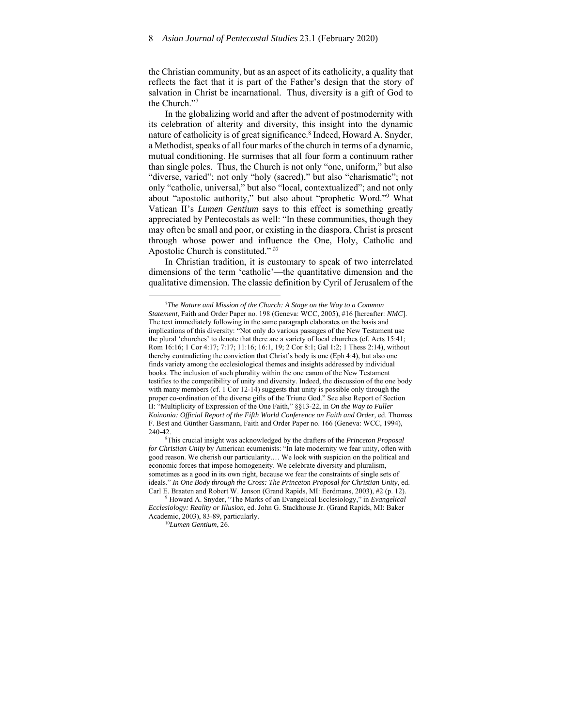the Christian community, but as an aspect of its catholicity, a quality that reflects the fact that it is part of the Father's design that the story of salvation in Christ be incarnational. Thus, diversity is a gift of God to the Church."7

In the globalizing world and after the advent of postmodernity with its celebration of alterity and diversity, this insight into the dynamic nature of catholicity is of great significance.<sup>8</sup> Indeed, Howard A. Snyder, a Methodist, speaks of all four marks of the church in terms of a dynamic, mutual conditioning. He surmises that all four form a continuum rather than single poles. Thus, the Church is not only "one, uniform," but also "diverse, varied"; not only "holy (sacred)," but also "charismatic"; not only "catholic, universal," but also "local, contextualized"; and not only about "apostolic authority," but also about "prophetic Word."9 What Vatican II's *Lumen Gentium* says to this effect is something greatly appreciated by Pentecostals as well: "In these communities, though they may often be small and poor, or existing in the diaspora, Christ is present through whose power and influence the One, Holy, Catholic and Apostolic Church is constituted."*<sup>10</sup>*

In Christian tradition, it is customary to speak of two interrelated dimensions of the term 'catholic'—the quantitative dimension and the qualitative dimension. The classic definition by Cyril of Jerusalem of the

 Howard A. Snyder, "The Marks of an Evangelical Ecclesiology," in *Evangelical Ecclesiology: Reality or Illusion,* ed. John G. Stackhouse Jr. (Grand Rapids, MI: Baker Academic, 2003), 83-89, particularly. 10*Lumen Gentium*, 26.

<sup>7</sup> *The Nature and Mission of the Church: A Stage on the Way to a Common Statement*, Faith and Order Paper no. 198 (Geneva: WCC, 2005), #16 [hereafter: *NMC*]. The text immediately following in the same paragraph elaborates on the basis and implications of this diversity: "Not only do various passages of the New Testament use the plural 'churches' to denote that there are a variety of local churches (cf. Acts 15:41; Rom 16:16; 1 Cor 4:17; 7:17; 11:16; 16:1, 19; 2 Cor 8:1; Gal 1:2; 1 Thess 2:14), without thereby contradicting the conviction that Christ's body is one (Eph 4:4), but also one finds variety among the ecclesiological themes and insights addressed by individual books. The inclusion of such plurality within the one canon of the New Testament testifies to the compatibility of unity and diversity. Indeed, the discussion of the one body with many members (cf. 1 Cor 12-14) suggests that unity is possible only through the proper co-ordination of the diverse gifts of the Triune God." See also Report of Section II: "Multiplicity of Expression of the One Faith," §§13-22, in *On the Way to Fuller Koinonia: Official Report of the Fifth World Conference on Faith and Order*, ed. Thomas F. Best and Günther Gassmann, Faith and Order Paper no. 166 (Geneva: WCC, 1994), 240-42. 8

This crucial insight was acknowledged by the drafters of the *Princeton Proposal for Christian Unity* by American ecumenists: "In late modernity we fear unity, often with good reason. We cherish our particularity.… We look with suspicion on the political and economic forces that impose homogeneity. We celebrate diversity and pluralism, sometimes as a good in its own right, because we fear the constraints of single sets of ideals." *In One Body through the Cross: The Princeton Proposal for Christian Unity*, ed. Carl E. Braaten and Robert W. Jenson (Grand Rapids, MI: Eerdmans, 2003), #2 (p. 12).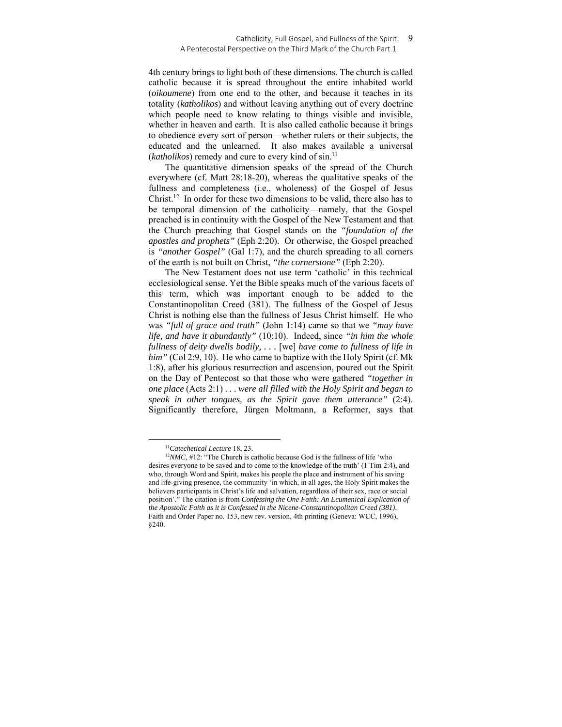#### Catholicity, Full Gospel, and Fullness of the Spirit: A Pentecostal Perspective on the Third Mark of the Church Part 1

4th century brings to light both of these dimensions. The church is called catholic because it is spread throughout the entire inhabited world (*oikoumene*) from one end to the other, and because it teaches in its totality (*katholikos*) and without leaving anything out of every doctrine which people need to know relating to things visible and invisible, whether in heaven and earth. It is also called catholic because it brings to obedience every sort of person—whether rulers or their subjects, the educated and the unlearned. It also makes available a universal (*katholikos*) remedy and cure to every kind of sin.11

The quantitative dimension speaks of the spread of the Church everywhere (cf. Matt 28:18-20), whereas the qualitative speaks of the fullness and completeness (i.e., wholeness) of the Gospel of Jesus Christ.12 In order for these two dimensions to be valid, there also has to be temporal dimension of the catholicity—namely, that the Gospel preached is in continuity with the Gospel of the New Testament and that the Church preaching that Gospel stands on the *"foundation of the apostles and prophets"* (Eph 2:20). Or otherwise, the Gospel preached is *"another Gospel"* (Gal 1:7), and the church spreading to all corners of the earth is not built on Christ, *"the cornerstone"* (Eph 2:20).

The New Testament does not use term 'catholic' in this technical ecclesiological sense. Yet the Bible speaks much of the various facets of this term, which was important enough to be added to the Constantinopolitan Creed (381). The fullness of the Gospel of Jesus Christ is nothing else than the fullness of Jesus Christ himself. He who was *"full of grace and truth"* (John 1:14) came so that we *"may have life, and have it abundantly"* (10:10). Indeed, since *"in him the whole fullness of deity dwells bodily, . . .* [we] *have come to fullness of life in him"* (Col 2:9, 10). He who came to baptize with the Holy Spirit (cf. Mk 1:8), after his glorious resurrection and ascension, poured out the Spirit on the Day of Pentecost so that those who were gathered *"together in one place* (Acts 2:1) . . . *were all filled with the Holy Spirit and began to speak in other tongues, as the Spirit gave them utterance"* (2:4). Significantly therefore, Jürgen Moltmann, a Reformer, says that

<sup>&</sup>lt;sup>11</sup>Catechetical Lecture 18, 23.<br><sup>12</sup>*NMC*, #12: "The Church is catholic because God is the fullness of life 'who desires everyone to be saved and to come to the knowledge of the truth' (1 Tim 2:4), and who, through Word and Spirit, makes his people the place and instrument of his saving and life-giving presence, the community 'in which, in all ages, the Holy Spirit makes the believers participants in Christ's life and salvation, regardless of their sex, race or social position'." The citation is from *Confessing the One Faith: An Ecumenical Explication of the Apostolic Faith as it is Confessed in the Nicene-Constantinopolitan Creed (381)*. Faith and Order Paper no. 153, new rev. version, 4th printing (Geneva: WCC, 1996), §240.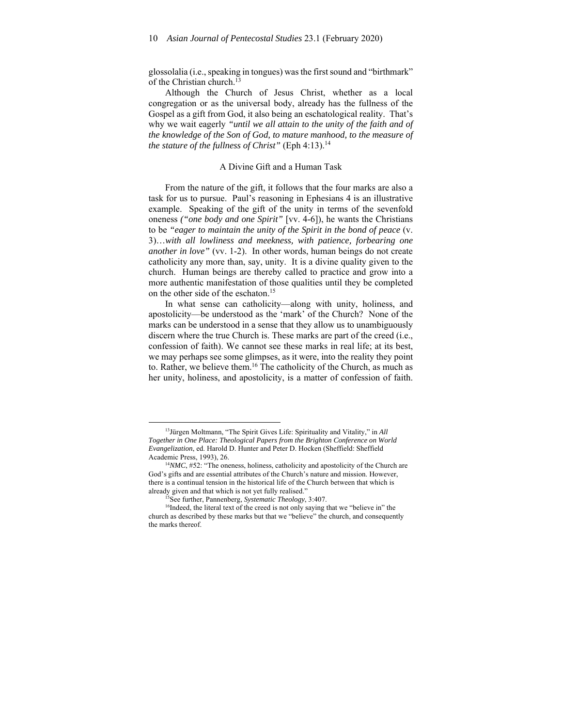glossolalia (i.e., speaking in tongues) was the first sound and "birthmark" of the Christian church.<sup>13</sup>

Although the Church of Jesus Christ, whether as a local congregation or as the universal body, already has the fullness of the Gospel as a gift from God, it also being an eschatological reality. That's why we wait eagerly *"until we all attain to the unity of the faith and of the knowledge of the Son of God, to mature manhood, to the measure of the stature of the fullness of Christ"* (Eph 4:13).<sup>14</sup>

#### A Divine Gift and a Human Task

From the nature of the gift, it follows that the four marks are also a task for us to pursue. Paul's reasoning in Ephesians 4 is an illustrative example. Speaking of the gift of the unity in terms of the sevenfold oneness *("one body and one Spirit"* [vv. 4-6]), he wants the Christians to be *"eager to maintain the unity of the Spirit in the bond of peace* (v. 3)…*with all lowliness and meekness, with patience, forbearing one another in love"* (vv. 1-2). In other words, human beings do not create catholicity any more than, say, unity. It is a divine quality given to the church. Human beings are thereby called to practice and grow into a more authentic manifestation of those qualities until they be completed on the other side of the eschaton.15

In what sense can catholicity—along with unity, holiness, and apostolicity—be understood as the 'mark' of the Church? None of the marks can be understood in a sense that they allow us to unambiguously discern where the true Church is. These marks are part of the creed (i.e., confession of faith). We cannot see these marks in real life; at its best, we may perhaps see some glimpses, as it were, into the reality they point to. Rather, we believe them.16 The catholicity of the Church, as much as her unity, holiness, and apostolicity, is a matter of confession of faith.

<sup>13</sup>Jürgen Moltmann, "The Spirit Gives Life: Spirituality and Vitality," in *All Together in One Place: Theological Papers from the Brighton Conference on World Evangelization*, ed. Harold D. Hunter and Peter D. Hocken (Sheffield: Sheffield

Academic Press, 1993), 26.<br><sup>14</sup>*NMC*, #52: "The oneness, holiness, catholicity and apostolicity of the Church are God's gifts and are essential attributes of the Church's nature and mission. However, there is a continual tension in the historical life of the Church between that which is already given and that which is not yet fully realised."<br><sup>15</sup>See further, Pannenberg, *Systematic Theology*, 3:407.<br><sup>16</sup>Indeed, the literal text of the creed is not only saying that we "believe in" the

church as described by these marks but that we "believe" the church, and consequently the marks thereof.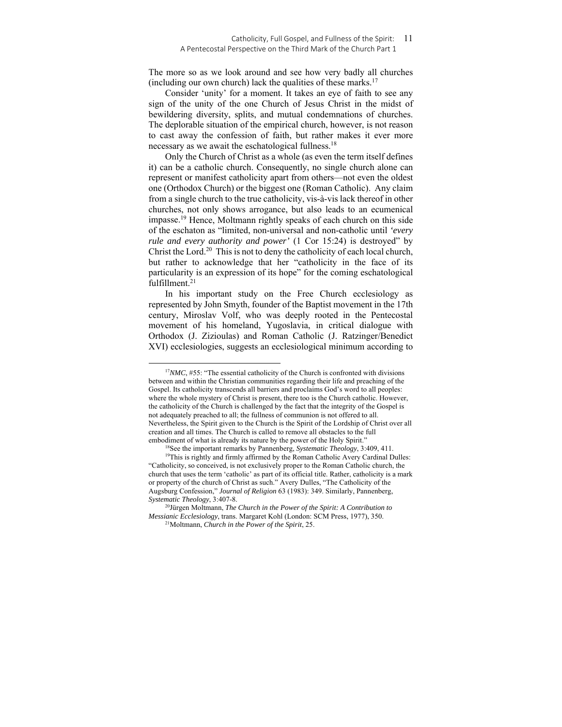#### Catholicity, Full Gospel, and Fullness of the Spirit: 11 A Pentecostal Perspective on the Third Mark of the Church Part 1

The more so as we look around and see how very badly all churches (including our own church) lack the qualities of these marks.<sup>17</sup>

Consider 'unity' for a moment. It takes an eye of faith to see any sign of the unity of the one Church of Jesus Christ in the midst of bewildering diversity, splits, and mutual condemnations of churches. The deplorable situation of the empirical church, however, is not reason to cast away the confession of faith, but rather makes it ever more necessary as we await the eschatological fullness.<sup>18</sup>

Only the Church of Christ as a whole (as even the term itself defines it) can be a catholic church. Consequently, no single church alone can represent or manifest catholicity apart from others—not even the oldest one (Orthodox Church) or the biggest one (Roman Catholic). Any claim from a single church to the true catholicity, vis-à-vis lack thereof in other churches, not only shows arrogance, but also leads to an ecumenical impasse.19 Hence, Moltmann rightly speaks of each church on this side of the eschaton as "limited, non-universal and non-catholic until *'every rule and every authority and power'* (1 Cor 15:24) is destroyed" by Christ the Lord.<sup>20</sup> This is not to deny the catholicity of each local church, but rather to acknowledge that her "catholicity in the face of its particularity is an expression of its hope" for the coming eschatological fulfillment.<sup>21</sup>

In his important study on the Free Church ecclesiology as represented by John Smyth, founder of the Baptist movement in the 17th century, Miroslav Volf, who was deeply rooted in the Pentecostal movement of his homeland, Yugoslavia, in critical dialogue with Orthodox (J. Zizioulas) and Roman Catholic (J. Ratzinger/Benedict XVI) ecclesiologies, suggests an ecclesiological minimum according to

<sup>&</sup>lt;sup>17</sup>*NMC*, #55: "The essential catholicity of the Church is confronted with divisions between and within the Christian communities regarding their life and preaching of the Gospel. Its catholicity transcends all barriers and proclaims God's word to all peoples: where the whole mystery of Christ is present, there too is the Church catholic. However, the catholicity of the Church is challenged by the fact that the integrity of the Gospel is not adequately preached to all; the fullness of communion is not offered to all. Nevertheless, the Spirit given to the Church is the Spirit of the Lordship of Christ over all creation and all times. The Church is called to remove all obstacles to the full

embodiment of what is already its nature by the power of the Holy Spirit."<br><sup>18</sup>See the important remarks by Pannenberg, *Systematic Theology*, 3:409, 411.<br><sup>19</sup>This is rightly and firmly affirmed by the Roman Catholic Avery "Catholicity, so conceived, is not exclusively proper to the Roman Catholic church, the church that uses the term 'catholic' as part of its official title. Rather, catholicity is a mark or property of the church of Christ as such." Avery Dulles, "The Catholicity of the Augsburg Confession," *Journal of Religion* 63 (1983): 349. Similarly, Pannenberg, *Systematic Theology*, 3:407-8. 20Jürgen Moltmann, *The Church in the Power of the Spirit: A Contribution to* 

*Messianic Ecclesiology*, trans. Margaret Kohl (London: SCM Press, 1977), 350. <sup>21</sup>Moltmann, *Church in the Power of the Spirit*, 25.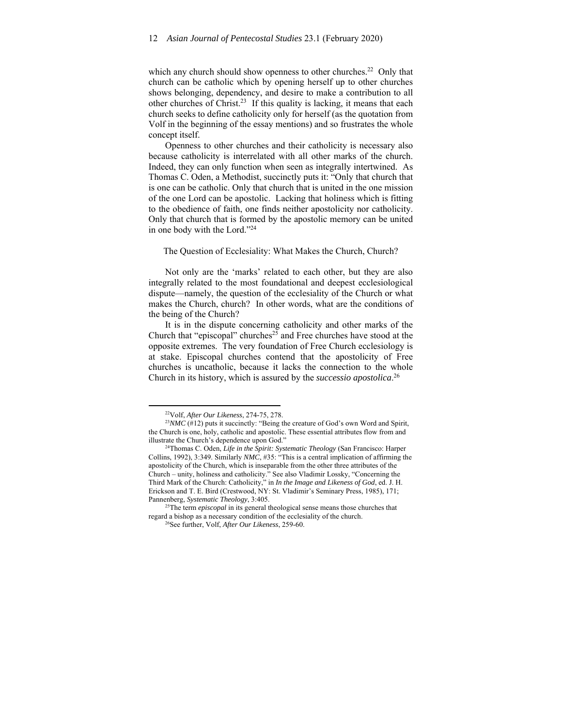which any church should show openness to other churches.<sup>22</sup> Only that church can be catholic which by opening herself up to other churches shows belonging, dependency, and desire to make a contribution to all other churches of Christ.23 If this quality is lacking, it means that each church seeks to define catholicity only for herself (as the quotation from Volf in the beginning of the essay mentions) and so frustrates the whole concept itself.

Openness to other churches and their catholicity is necessary also because catholicity is interrelated with all other marks of the church. Indeed, they can only function when seen as integrally intertwined. As Thomas C. Oden, a Methodist, succinctly puts it: "Only that church that is one can be catholic. Only that church that is united in the one mission of the one Lord can be apostolic. Lacking that holiness which is fitting to the obedience of faith, one finds neither apostolicity nor catholicity. Only that church that is formed by the apostolic memory can be united in one body with the Lord."24

#### The Question of Ecclesiality: What Makes the Church, Church?

Not only are the 'marks' related to each other, but they are also integrally related to the most foundational and deepest ecclesiological dispute—namely, the question of the ecclesiality of the Church or what makes the Church, church? In other words, what are the conditions of the being of the Church?

It is in the dispute concerning catholicity and other marks of the Church that "episcopal" churches<sup>25</sup> and Free churches have stood at the opposite extremes. The very foundation of Free Church ecclesiology is at stake. Episcopal churches contend that the apostolicity of Free churches is uncatholic, because it lacks the connection to the whole Church in its history, which is assured by the *successio apostolica*. 26

<sup>&</sup>lt;sup>22</sup>Volf, *After Our Likeness*, 274-75, 278.<br><sup>23</sup>*NMC* (#12) puts it succinctly: "Being the creature of God's own Word and Spirit, the Church is one, holy, catholic and apostolic. These essential attributes flow from and illustrate the Church's dependence upon God." 24Thomas C. Oden, *Life in the Spirit: Systematic Theology* (San Francisco: Harper

Collins, 1992), 3:349. Similarly *NMC*, #35: "This is a central implication of affirming the apostolicity of the Church, which is inseparable from the other three attributes of the Church – unity, holiness and catholicity." See also Vladimir Lossky, "Concerning the Third Mark of the Church: Catholicity," in *In the Image and Likeness of God*, ed. J. H. Erickson and T. E. Bird (Crestwood, NY: St. Vladimir's Seminary Press, 1985), 171;

Pannenberg, *Systematic Theology*, 3:405. 25The term *episcopal* in its general theological sense means those churches that regard a bishop as a necessary condition of the ecclesiality of the church. 26See further, Volf, *After Our Likeness*, 259-60.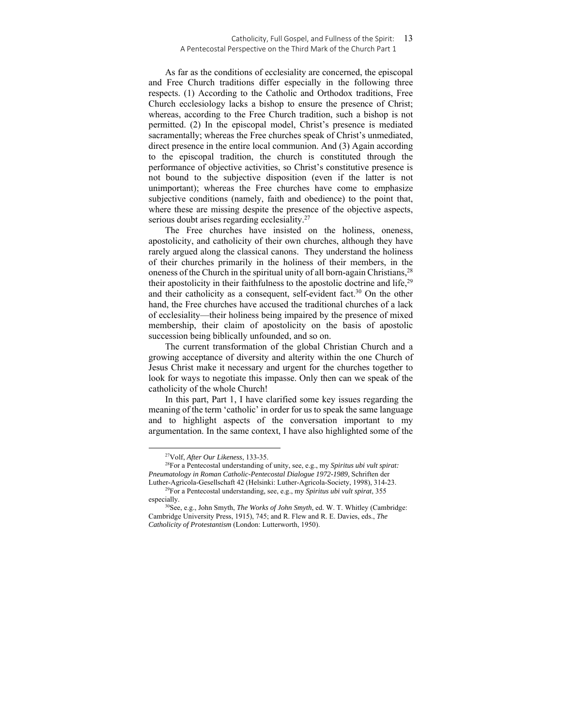#### Catholicity, Full Gospel, and Fullness of the Spirit: 13 A Pentecostal Perspective on the Third Mark of the Church Part 1

As far as the conditions of ecclesiality are concerned, the episcopal and Free Church traditions differ especially in the following three respects. (1) According to the Catholic and Orthodox traditions, Free Church ecclesiology lacks a bishop to ensure the presence of Christ; whereas, according to the Free Church tradition, such a bishop is not permitted. (2) In the episcopal model, Christ's presence is mediated sacramentally; whereas the Free churches speak of Christ's unmediated, direct presence in the entire local communion. And (3) Again according to the episcopal tradition, the church is constituted through the performance of objective activities, so Christ's constitutive presence is not bound to the subjective disposition (even if the latter is not unimportant); whereas the Free churches have come to emphasize subjective conditions (namely, faith and obedience) to the point that, where these are missing despite the presence of the objective aspects, serious doubt arises regarding ecclesiality.<sup>27</sup>

The Free churches have insisted on the holiness, oneness, apostolicity, and catholicity of their own churches, although they have rarely argued along the classical canons. They understand the holiness of their churches primarily in the holiness of their members, in the oneness of the Church in the spiritual unity of all born-again Christians,<sup>28</sup> their apostolicity in their faithfulness to the apostolic doctrine and life,<sup>29</sup> and their catholicity as a consequent, self-evident fact.<sup>30</sup> On the other hand, the Free churches have accused the traditional churches of a lack of ecclesiality—their holiness being impaired by the presence of mixed membership, their claim of apostolicity on the basis of apostolic succession being biblically unfounded, and so on.

The current transformation of the global Christian Church and a growing acceptance of diversity and alterity within the one Church of Jesus Christ make it necessary and urgent for the churches together to look for ways to negotiate this impasse. Only then can we speak of the catholicity of the whole Church!

In this part, Part 1, I have clarified some key issues regarding the meaning of the term 'catholic' in order for us to speak the same language and to highlight aspects of the conversation important to my argumentation. In the same context, I have also highlighted some of the

<sup>&</sup>lt;sup>27</sup>Volf, *After Our Likeness*, 133-35.<br><sup>28</sup>For a Pentecostal understanding of unity, see, e.g., my *Spiritus ubi vult spirat: Pneumatology in Roman Catholic-Pentecostal Dialogue 1972-1989,* Schriften der

Luther-Agricola-Gesellschaft 42 (Helsinki: Luther-Agricola-Society, 1998), 314-23. 29For a Pentecostal understanding, see, e.g., my *Spiritus ubi vult spirat*, 355

especially.<br><sup>30</sup>See, e.g., John Smyth, *The Works of John Smyth*, ed. W. T. Whitley (Cambridge: Cambridge University Press, 1915), 745; and R. Flew and R. E. Davies, eds., *The Catholicity of Protestantism* (London: Lutterworth, 1950).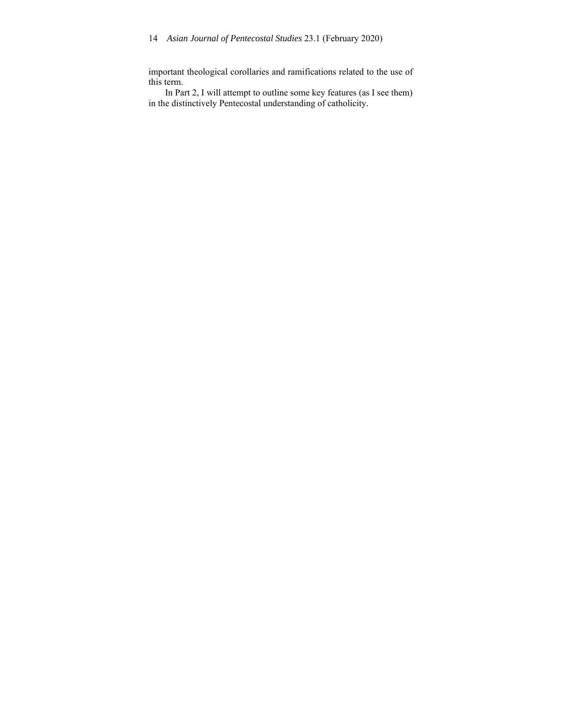important theological corollaries and ramifications related to the use of this term.

In Part 2, I will attempt to outline some key features (as I see them) in the distinctively Pentecostal understanding of catholicity.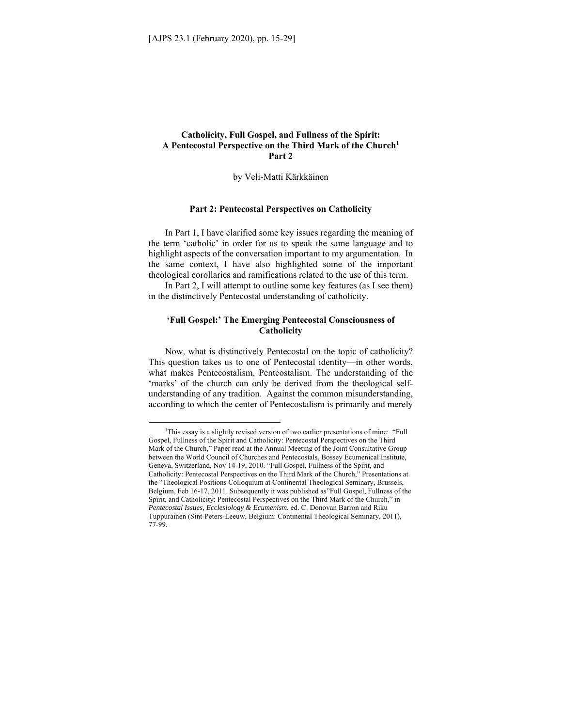# **Catholicity, Full Gospel, and Fullness of the Spirit: A Pentecostal Perspective on the Third Mark of the Church1 Part 2**

by Veli-Matti Kärkkäinen

#### **Part 2: Pentecostal Perspectives on Catholicity**

In Part 1, I have clarified some key issues regarding the meaning of the term 'catholic' in order for us to speak the same language and to highlight aspects of the conversation important to my argumentation. In the same context, I have also highlighted some of the important theological corollaries and ramifications related to the use of this term.

In Part 2, I will attempt to outline some key features (as I see them) in the distinctively Pentecostal understanding of catholicity.

#### **'Full Gospel:' The Emerging Pentecostal Consciousness of Catholicity**

Now, what is distinctively Pentecostal on the topic of catholicity? This question takes us to one of Pentecostal identity—in other words, what makes Pentecostalism, Pentcostalism. The understanding of the 'marks' of the church can only be derived from the theological selfunderstanding of any tradition. Against the common misunderstanding, according to which the center of Pentecostalism is primarily and merely

<sup>&</sup>lt;sup>1</sup>This essay is a slightly revised version of two earlier presentations of mine: "Full Gospel, Fullness of the Spirit and Catholicity: Pentecostal Perspectives on the Third Mark of the Church," Paper read at the Annual Meeting of the Joint Consultative Group between the World Council of Churches and Pentecostals, Bossey Ecumenical Institute, Geneva, Switzerland, Nov 14-19, 2010. "Full Gospel, Fullness of the Spirit, and Catholicity: Pentecostal Perspectives on the Third Mark of the Church," Presentations at the "Theological Positions Colloquium at Continental Theological Seminary, Brussels, Belgium, Feb 16-17, 2011. Subsequently it was published as"Full Gospel, Fullness of the Spirit, and Catholicity: Pentecostal Perspectives on the Third Mark of the Church," in *Pentecostal Issues, Ecclesiology & Ecumenism*, ed. C. Donovan Barron and Riku Tuppurainen (Sint-Peters-Leeuw, Belgium: Continental Theological Seminary, 2011), 77-99.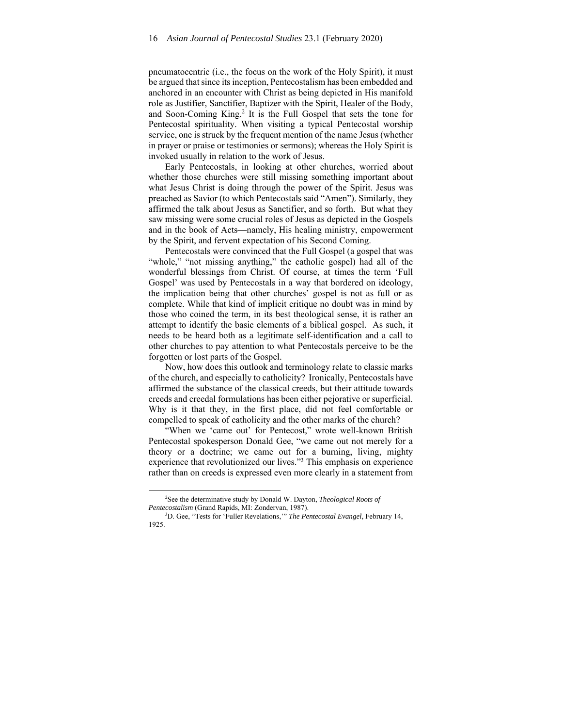pneumatocentric (i.e., the focus on the work of the Holy Spirit), it must be argued that since its inception, Pentecostalism has been embedded and anchored in an encounter with Christ as being depicted in His manifold role as Justifier, Sanctifier, Baptizer with the Spirit, Healer of the Body, and Soon-Coming King.<sup>2</sup> It is the Full Gospel that sets the tone for Pentecostal spirituality. When visiting a typical Pentecostal worship service, one is struck by the frequent mention of the name Jesus (whether in prayer or praise or testimonies or sermons); whereas the Holy Spirit is invoked usually in relation to the work of Jesus.

Early Pentecostals, in looking at other churches, worried about whether those churches were still missing something important about what Jesus Christ is doing through the power of the Spirit. Jesus was preached as Savior (to which Pentecostals said "Amen"). Similarly, they affirmed the talk about Jesus as Sanctifier, and so forth. But what they saw missing were some crucial roles of Jesus as depicted in the Gospels and in the book of Acts—namely, His healing ministry, empowerment by the Spirit, and fervent expectation of his Second Coming.

Pentecostals were convinced that the Full Gospel (a gospel that was "whole," "not missing anything," the catholic gospel) had all of the wonderful blessings from Christ. Of course, at times the term 'Full Gospel' was used by Pentecostals in a way that bordered on ideology, the implication being that other churches' gospel is not as full or as complete. While that kind of implicit critique no doubt was in mind by those who coined the term, in its best theological sense, it is rather an attempt to identify the basic elements of a biblical gospel. As such, it needs to be heard both as a legitimate self-identification and a call to other churches to pay attention to what Pentecostals perceive to be the forgotten or lost parts of the Gospel.

Now, how does this outlook and terminology relate to classic marks of the church, and especially to catholicity? Ironically, Pentecostals have affirmed the substance of the classical creeds, but their attitude towards creeds and creedal formulations has been either pejorative or superficial. Why is it that they, in the first place, did not feel comfortable or compelled to speak of catholicity and the other marks of the church?

"When we 'came out' for Pentecost," wrote well-known British Pentecostal spokesperson Donald Gee, "we came out not merely for a theory or a doctrine; we came out for a burning, living, mighty experience that revolutionized our lives."<sup>3</sup> This emphasis on experience rather than on creeds is expressed even more clearly in a statement from

<sup>2</sup> See the determinative study by Donald W. Dayton, *Theological Roots of*  Pentecostalism (Grand Rapids, MI: Zondervan, 1987).

D. Gee, "Tests for 'Fuller Revelations,'" *The Pentecostal Evangel*, February 14, 1925.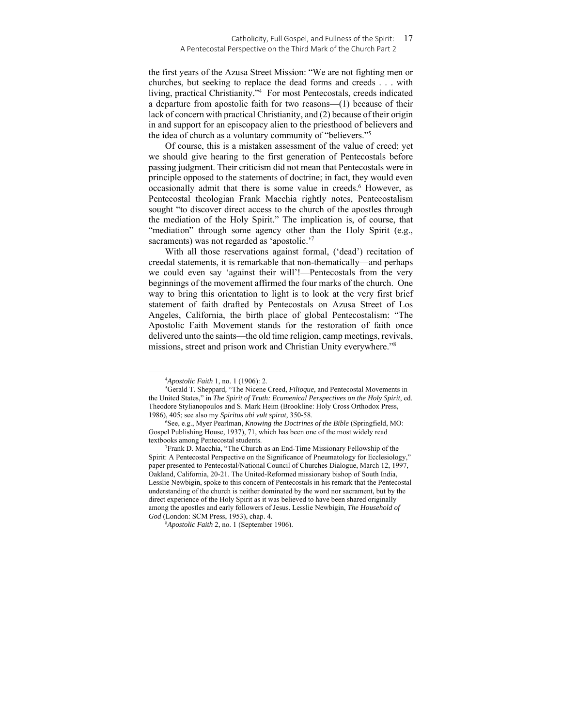#### Catholicity, Full Gospel, and Fullness of the Spirit: 17 A Pentecostal Perspective on the Third Mark of the Church Part 2

the first years of the Azusa Street Mission: "We are not fighting men or churches, but seeking to replace the dead forms and creeds . . . with living, practical Christianity."4 For most Pentecostals, creeds indicated a departure from apostolic faith for two reasons—(1) because of their lack of concern with practical Christianity, and (2) because of their origin in and support for an episcopacy alien to the priesthood of believers and the idea of church as a voluntary community of "believers."5

Of course, this is a mistaken assessment of the value of creed; yet we should give hearing to the first generation of Pentecostals before passing judgment. Their criticism did not mean that Pentecostals were in principle opposed to the statements of doctrine; in fact, they would even occasionally admit that there is some value in creeds.<sup>6</sup> However, as Pentecostal theologian Frank Macchia rightly notes, Pentecostalism sought "to discover direct access to the church of the apostles through the mediation of the Holy Spirit." The implication is, of course, that "mediation" through some agency other than the Holy Spirit (e.g., sacraments) was not regarded as 'apostolic.'7

With all those reservations against formal, ('dead') recitation of creedal statements, it is remarkable that non-thematically—and perhaps we could even say 'against their will'!—Pentecostals from the very beginnings of the movement affirmed the four marks of the church. One way to bring this orientation to light is to look at the very first brief statement of faith drafted by Pentecostals on Azusa Street of Los Angeles, California, the birth place of global Pentecostalism: "The Apostolic Faith Movement stands for the restoration of faith once delivered unto the saints—the old time religion, camp meetings, revivals, missions, street and prison work and Christian Unity everywhere."8

 $^{4}$ *Apostolic Faith* 1, no. 1 (1906): 2.<br><sup>5</sup>Gerald T. Shennard "The Nicene t

<sup>&</sup>lt;sup>5</sup>Gerald T. Sheppard, "The Nicene Creed, *Filioque*, and Pentecostal Movements in the United States," in *The Spirit of Truth: Ecumenical Perspectives on the Holy Spirit*, ed. Theodore Stylianopoulos and S. Mark Heim (Brookline: Holy Cross Orthodox Press, 1986), 405; see also my *Spiritus ubi vult spirat*, 350-58. 6

See, e.g., Myer Pearlman, *Knowing the Doctrines of the Bible* (Springfield, MO: Gospel Publishing House, 1937), 71, which has been one of the most widely read textbooks among Pentecostal students. 7

Frank D. Macchia, "The Church as an End-Time Missionary Fellowship of the Spirit: A Pentecostal Perspective on the Significance of Pneumatology for Ecclesiology," paper presented to Pentecostal/National Council of Churches Dialogue, March 12, 1997, Oakland, California, 20-21. The United-Reformed missionary bishop of South India, Lesslie Newbigin, spoke to this concern of Pentecostals in his remark that the Pentecostal understanding of the church is neither dominated by the word nor sacrament, but by the direct experience of the Holy Spirit as it was believed to have been shared originally among the apostles and early followers of Jesus. Lesslie Newbigin, *The Household of God* (London: SCM Press, 1953), chap. 4.

<sup>8</sup> *Apostolic Faith* 2, no. 1 (September 1906).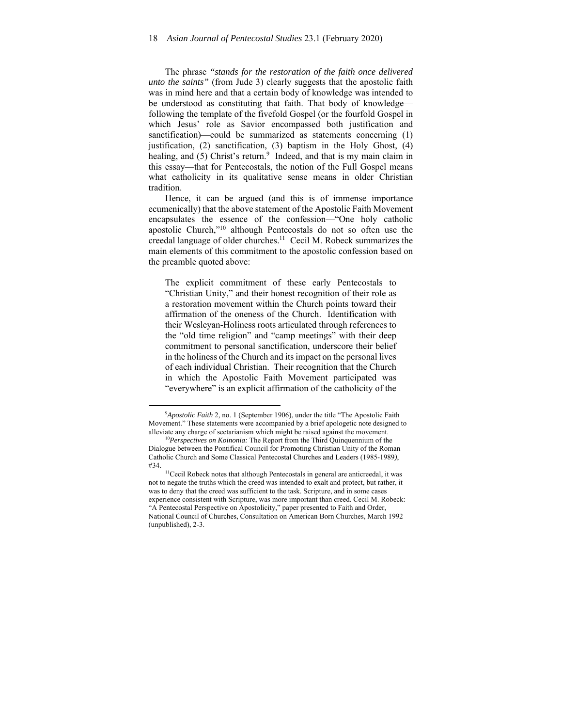The phrase *"stands for the restoration of the faith once delivered unto the saints"* (from Jude 3) clearly suggests that the apostolic faith was in mind here and that a certain body of knowledge was intended to be understood as constituting that faith. That body of knowledge following the template of the fivefold Gospel (or the fourfold Gospel in which Jesus' role as Savior encompassed both justification and sanctification)—could be summarized as statements concerning (1) justification, (2) sanctification, (3) baptism in the Holy Ghost, (4) healing, and (5) Christ's return.<sup>9</sup> Indeed, and that is my main claim in this essay—that for Pentecostals, the notion of the Full Gospel means what catholicity in its qualitative sense means in older Christian tradition.

Hence, it can be argued (and this is of immense importance ecumenically) that the above statement of the Apostolic Faith Movement encapsulates the essence of the confession—"One holy catholic apostolic Church,"10 although Pentecostals do not so often use the creedal language of older churches.<sup>11</sup> Cecil M. Robeck summarizes the main elements of this commitment to the apostolic confession based on the preamble quoted above:

The explicit commitment of these early Pentecostals to "Christian Unity," and their honest recognition of their role as a restoration movement within the Church points toward their affirmation of the oneness of the Church. Identification with their Wesleyan-Holiness roots articulated through references to the "old time religion" and "camp meetings" with their deep commitment to personal sanctification, underscore their belief in the holiness of the Church and its impact on the personal lives of each individual Christian. Their recognition that the Church in which the Apostolic Faith Movement participated was "everywhere" is an explicit affirmation of the catholicity of the

<sup>&</sup>lt;sup>9</sup>Apostolic Faith 2, no. 1 (September 1906), under the title "The Apostolic Faith Movement." These statements were accompanied by a brief apologetic note designed to alleviate any charge of sectarianism which might be raised against the movement. 10*Perspectives on Koinonia:* The Report from the Third Quinquennium of the

Dialogue between the Pontifical Council for Promoting Christian Unity of the Roman Catholic Church and Some Classical Pentecostal Churches and Leaders (1985-1989*)*, #34.  $\frac{11}{2}$ Cecil Robeck notes that although Pentecostals in general are anticreedal, it was

not to negate the truths which the creed was intended to exalt and protect, but rather, it was to deny that the creed was sufficient to the task. Scripture, and in some cases experience consistent with Scripture, was more important than creed. Cecil M. Robeck: "A Pentecostal Perspective on Apostolicity," paper presented to Faith and Order, National Council of Churches, Consultation on American Born Churches, March 1992 (unpublished), 2-3.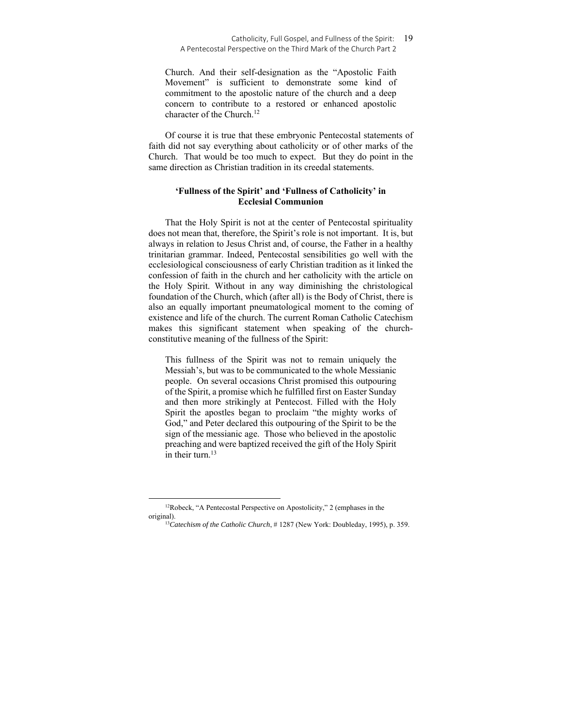Church. And their self-designation as the "Apostolic Faith Movement" is sufficient to demonstrate some kind of commitment to the apostolic nature of the church and a deep concern to contribute to a restored or enhanced apostolic character of the Church.12

Of course it is true that these embryonic Pentecostal statements of faith did not say everything about catholicity or of other marks of the Church. That would be too much to expect. But they do point in the same direction as Christian tradition in its creedal statements.

## **'Fullness of the Spirit' and 'Fullness of Catholicity' in Ecclesial Communion**

That the Holy Spirit is not at the center of Pentecostal spirituality does not mean that, therefore, the Spirit's role is not important. It is, but always in relation to Jesus Christ and, of course, the Father in a healthy trinitarian grammar. Indeed, Pentecostal sensibilities go well with the ecclesiological consciousness of early Christian tradition as it linked the confession of faith in the church and her catholicity with the article on the Holy Spirit. Without in any way diminishing the christological foundation of the Church, which (after all) is the Body of Christ, there is also an equally important pneumatological moment to the coming of existence and life of the church. The current Roman Catholic Catechism makes this significant statement when speaking of the churchconstitutive meaning of the fullness of the Spirit:

This fullness of the Spirit was not to remain uniquely the Messiah's, but was to be communicated to the whole Messianic people. On several occasions Christ promised this outpouring of the Spirit, a promise which he fulfilled first on Easter Sunday and then more strikingly at Pentecost. Filled with the Holy Spirit the apostles began to proclaim "the mighty works of God," and Peter declared this outpouring of the Spirit to be the sign of the messianic age. Those who believed in the apostolic preaching and were baptized received the gift of the Holy Spirit in their turn. $13$ 

<sup>&</sup>lt;sup>12</sup>Robeck, "A Pentecostal Perspective on Apostolicity," 2 (emphases in the original). 13*Catechism of the Catholic Church*, # 1287 (New York: Doubleday, 1995), p. 359.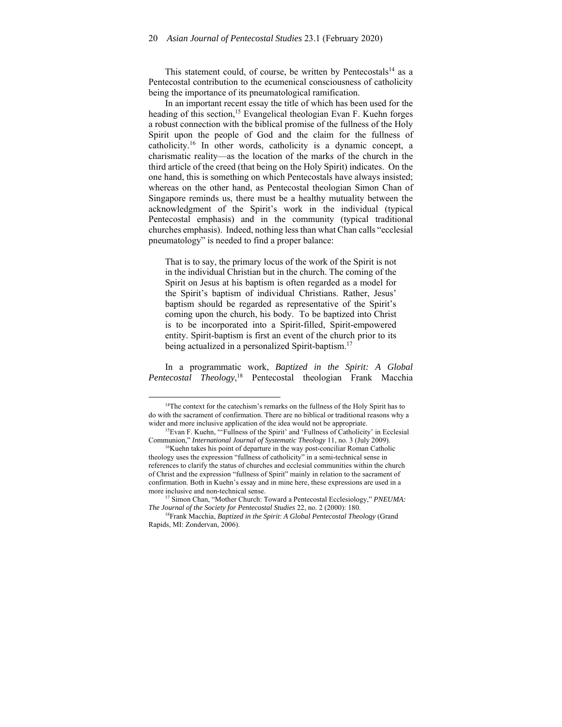This statement could, of course, be written by Pentecostals<sup>14</sup> as a Pentecostal contribution to the ecumenical consciousness of catholicity being the importance of its pneumatological ramification.

In an important recent essay the title of which has been used for the heading of this section,<sup>15</sup> Evangelical theologian Evan F. Kuehn forges a robust connection with the biblical promise of the fullness of the Holy Spirit upon the people of God and the claim for the fullness of catholicity.16 In other words, catholicity is a dynamic concept, a charismatic reality—as the location of the marks of the church in the third article of the creed (that being on the Holy Spirit) indicates. On the one hand, this is something on which Pentecostals have always insisted; whereas on the other hand, as Pentecostal theologian Simon Chan of Singapore reminds us, there must be a healthy mutuality between the acknowledgment of the Spirit's work in the individual (typical Pentecostal emphasis) and in the community (typical traditional churches emphasis). Indeed, nothing less than what Chan calls "ecclesial pneumatology" is needed to find a proper balance:

That is to say, the primary locus of the work of the Spirit is not in the individual Christian but in the church. The coming of the Spirit on Jesus at his baptism is often regarded as a model for the Spirit's baptism of individual Christians. Rather, Jesus' baptism should be regarded as representative of the Spirit's coming upon the church, his body. To be baptized into Christ is to be incorporated into a Spirit-filled, Spirit-empowered entity. Spirit-baptism is first an event of the church prior to its being actualized in a personalized Spirit-baptism.<sup>17</sup>

In a programmatic work, *Baptized in the Spirit: A Global Pentecostal Theology*, 18 Pentecostal theologian Frank Macchia

<sup>&</sup>lt;sup>14</sup>The context for the catechism's remarks on the fullness of the Holy Spirit has to do with the sacrament of confirmation. There are no biblical or traditional reasons why a wider and more inclusive application of the idea would not be appropriate.<br><sup>15</sup>Evan F. Kuehn, "'Fullness of the Spirit' and 'Fullness of Catholicity' in Ecclesial

Communion," *International Journal of Systematic Theology* 11, no. 3 (July 2009).<br><sup>16</sup>Kuehn takes his point of departure in the way post-conciliar Roman Catholic

theology uses the expression "fullness of catholicity" in a semi-technical sense in references to clarify the status of churches and ecclesial communities within the church of Christ and the expression "fullness of Spirit" mainly in relation to the sacrament of confirmation. Both in Kuehn's essay and in mine here, these expressions are used in a more inclusive and non-technical sense.<br><sup>17</sup> Simon Chan, "Mother Church: Toward a Pentecostal Ecclesiology," *PNEUMA:* 

*The Journal of the Society for Pentecostal Studies* 22, no. 2 (2000): 180.<br><sup>18</sup>Frank Macchia, *Baptized in the Spirit: A Global Pentecostal Theology* (Grand

Rapids, MI: Zondervan, 2006).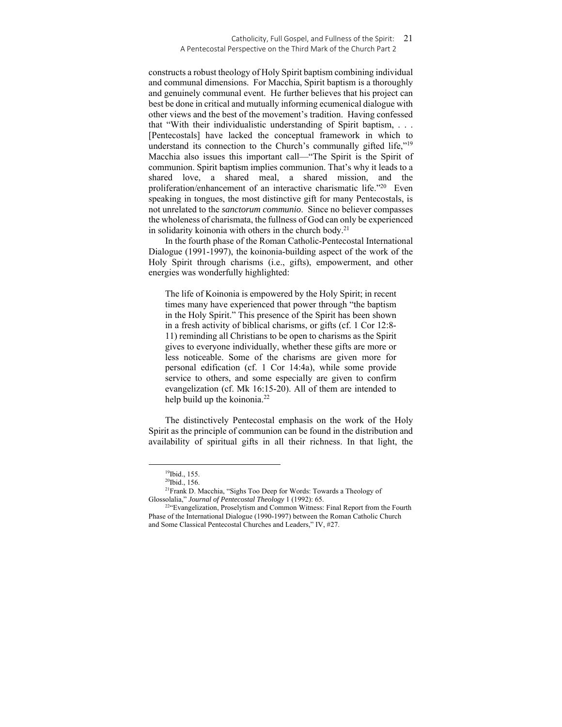#### Catholicity, Full Gospel, and Fullness of the Spirit: 21 A Pentecostal Perspective on the Third Mark of the Church Part 2

constructs a robust theology of Holy Spirit baptism combining individual and communal dimensions. For Macchia, Spirit baptism is a thoroughly and genuinely communal event. He further believes that his project can best be done in critical and mutually informing ecumenical dialogue with other views and the best of the movement's tradition. Having confessed that "With their individualistic understanding of Spirit baptism, . . . [Pentecostals] have lacked the conceptual framework in which to understand its connection to the Church's communally gifted life,"<sup>19</sup> Macchia also issues this important call—"The Spirit is the Spirit of communion. Spirit baptism implies communion. That's why it leads to a shared love, a shared meal, a shared mission, and the proliferation/enhancement of an interactive charismatic life."20 Even speaking in tongues, the most distinctive gift for many Pentecostals, is not unrelated to the *sanctorum communio*. Since no believer compasses the wholeness of charismata, the fullness of God can only be experienced in solidarity koinonia with others in the church body.<sup>21</sup>

In the fourth phase of the Roman Catholic-Pentecostal International Dialogue (1991-1997), the koinonia-building aspect of the work of the Holy Spirit through charisms (i.e., gifts), empowerment, and other energies was wonderfully highlighted:

The life of Koinonia is empowered by the Holy Spirit; in recent times many have experienced that power through "the baptism in the Holy Spirit." This presence of the Spirit has been shown in a fresh activity of biblical charisms, or gifts (cf. 1 Cor 12:8- 11) reminding all Christians to be open to charisms as the Spirit gives to everyone individually, whether these gifts are more or less noticeable. Some of the charisms are given more for personal edification (cf. 1 Cor 14:4a), while some provide service to others, and some especially are given to confirm evangelization (cf. Mk 16:15-20). All of them are intended to help build up the koinonia.<sup>22</sup>

The distinctively Pentecostal emphasis on the work of the Holy Spirit as the principle of communion can be found in the distribution and availability of spiritual gifts in all their richness. In that light, the

<sup>19</sup>Ibid., 155.

<sup>20</sup>Ibid., 156.

<sup>21</sup>Frank D. Macchia, "Sighs Too Deep for Words: Towards a Theology of Glossolalia," *Journal of Pentecostal Theology* 1 (1992): 65.<br><sup>22</sup>"Evangelization, Proselytism and Common Witness: Final Report from the Fourth

Phase of the International Dialogue (1990-1997) between the Roman Catholic Church and Some Classical Pentecostal Churches and Leaders," IV, #27.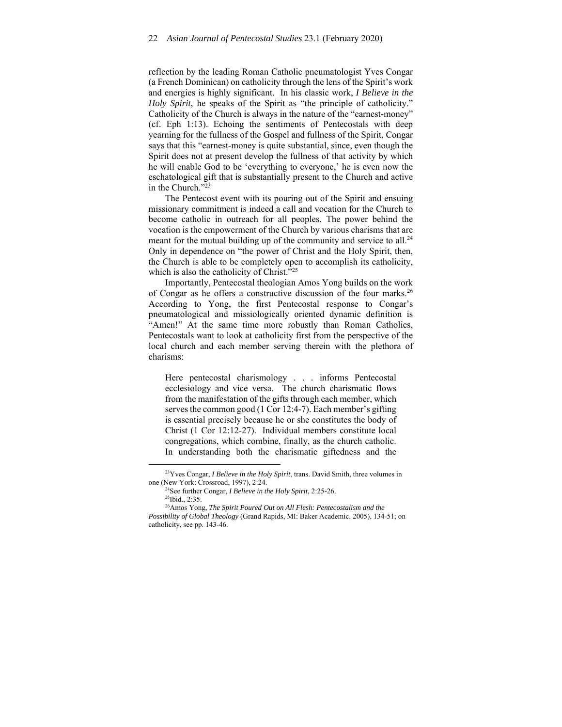reflection by the leading Roman Catholic pneumatologist Yves Congar (a French Dominican) on catholicity through the lens of the Spirit's work and energies is highly significant. In his classic work, *I Believe in the Holy Spirit*, he speaks of the Spirit as "the principle of catholicity." Catholicity of the Church is always in the nature of the "earnest-money" (cf. Eph 1:13). Echoing the sentiments of Pentecostals with deep yearning for the fullness of the Gospel and fullness of the Spirit, Congar says that this "earnest-money is quite substantial, since, even though the Spirit does not at present develop the fullness of that activity by which he will enable God to be 'everything to everyone,' he is even now the eschatological gift that is substantially present to the Church and active in the Church."23

The Pentecost event with its pouring out of the Spirit and ensuing missionary commitment is indeed a call and vocation for the Church to become catholic in outreach for all peoples. The power behind the vocation is the empowerment of the Church by various charisms that are meant for the mutual building up of the community and service to all. $^{24}$ Only in dependence on "the power of Christ and the Holy Spirit, then, the Church is able to be completely open to accomplish its catholicity, which is also the catholicity of Christ."<sup>25</sup>

Importantly, Pentecostal theologian Amos Yong builds on the work of Congar as he offers a constructive discussion of the four marks.26 According to Yong, the first Pentecostal response to Congar's pneumatological and missiologically oriented dynamic definition is "Amen!" At the same time more robustly than Roman Catholics, Pentecostals want to look at catholicity first from the perspective of the local church and each member serving therein with the plethora of charisms:

Here pentecostal charismology . . . informs Pentecostal ecclesiology and vice versa. The church charismatic flows from the manifestation of the gifts through each member, which serves the common good (1 Cor 12:4-7). Each member's gifting is essential precisely because he or she constitutes the body of Christ (1 Cor 12:12-27). Individual members constitute local congregations, which combine, finally, as the church catholic. In understanding both the charismatic giftedness and the

<sup>23</sup>Yves Congar, *I Believe in the Holy Spirit*, trans. David Smith, three volumes in

one (New York: Crossroad, 1997), 2:24.<br><sup>24</sup>See further Congar, *I Believe in the Holy Spirit*, 2:25-26.<br><sup>25</sup>Ibid., 2:35.

<sup>26</sup>Amos Yong, *The Spirit Poured Out on All Flesh: Pentecostalism and the Possibility of Global Theology* (Grand Rapids, MI: Baker Academic, 2005), 134-51; on catholicity, see pp. 143-46.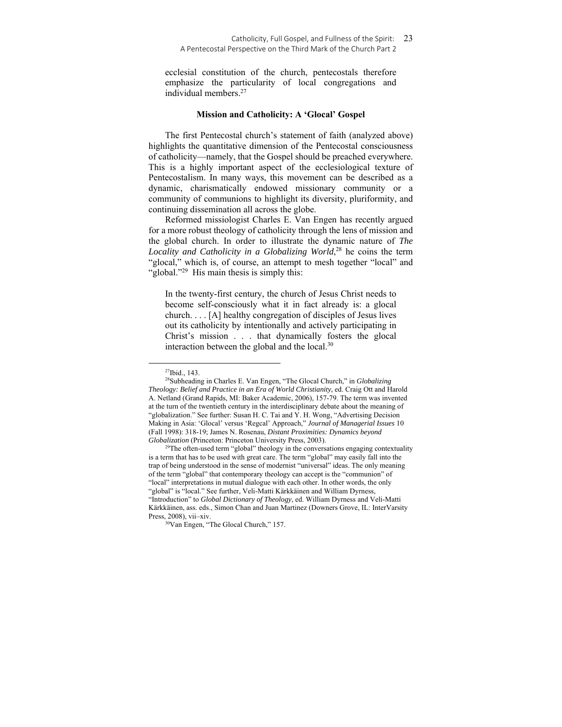ecclesial constitution of the church, pentecostals therefore emphasize the particularity of local congregations and individual members.27

#### **Mission and Catholicity: A 'Glocal' Gospel**

The first Pentecostal church's statement of faith (analyzed above) highlights the quantitative dimension of the Pentecostal consciousness of catholicity—namely, that the Gospel should be preached everywhere. This is a highly important aspect of the ecclesiological texture of Pentecostalism. In many ways, this movement can be described as a dynamic, charismatically endowed missionary community or a community of communions to highlight its diversity, pluriformity, and continuing dissemination all across the globe.

Reformed missiologist Charles E. Van Engen has recently argued for a more robust theology of catholicity through the lens of mission and the global church. In order to illustrate the dynamic nature of *The*  Locality and Catholicity in a Globalizing World,<sup>28</sup> he coins the term "glocal," which is, of course, an attempt to mesh together "local" and "global."<sup>29</sup> His main thesis is simply this:

In the twenty-first century, the church of Jesus Christ needs to become self-consciously what it in fact already is: a glocal church. . . . [A] healthy congregation of disciples of Jesus lives out its catholicity by intentionally and actively participating in Christ's mission . . . that dynamically fosters the glocal interaction between the global and the local. $30$ 

is a term that has to be used with great care. The term "global" may easily fall into the trap of being understood in the sense of modernist "universal" ideas. The only meaning of the term "global" that contemporary theology can accept is the "communion" of "local" interpretations in mutual dialogue with each other. In other words, the only "global" is "local." See further, Veli-Matti Kärkkäinen and William Dyrness, "Introduction" to *Global Dictionary of Theology*, ed. William Dyrness and Veli-Matti Kärkkäinen, ass. eds., Simon Chan and Juan Martinez (Downers Grove, IL: InterVarsity Press, 2008), vii–xiv.<br><sup>30</sup>Van Engen, "The Glocal Church," 157.

<sup>27</sup>Ibid., 143.

<sup>28</sup>Subheading in Charles E. Van Engen, "The Glocal Church," in *Globalizing Theology: Belief and Practice in an Era of World Christianity*, ed. Craig Ott and Harold A. Netland (Grand Rapids, MI: Baker Academic, 2006), 157-79. The term was invented at the turn of the twentieth century in the interdisciplinary debate about the meaning of "globalization." See further: Susan H. C. Tai and Y. H. Wong, "Advertising Decision Making in Asia: 'Glocal' versus 'Regcal' Approach," *Journal of Managerial Issues* 10 (Fall 1998): 318-19; James N. Rosenau, *Distant Proximities: Dynamics beyond Globalization* (Princeton: Princeton University Press, 2003).<br><sup>29</sup>The often-used term "global" theology in the conversations engaging contextuality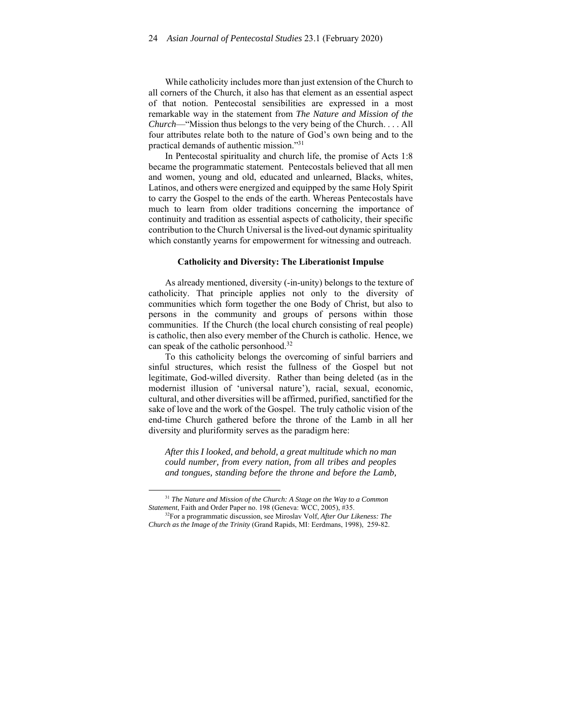While catholicity includes more than just extension of the Church to all corners of the Church, it also has that element as an essential aspect of that notion. Pentecostal sensibilities are expressed in a most remarkable way in the statement from *The Nature and Mission of the Church*—"Mission thus belongs to the very being of the Church. . . . All four attributes relate both to the nature of God's own being and to the practical demands of authentic mission."31

In Pentecostal spirituality and church life, the promise of Acts 1:8 became the programmatic statement. Pentecostals believed that all men and women, young and old, educated and unlearned, Blacks, whites, Latinos, and others were energized and equipped by the same Holy Spirit to carry the Gospel to the ends of the earth. Whereas Pentecostals have much to learn from older traditions concerning the importance of continuity and tradition as essential aspects of catholicity, their specific contribution to the Church Universal is the lived-out dynamic spirituality which constantly yearns for empowerment for witnessing and outreach.

#### **Catholicity and Diversity: The Liberationist Impulse**

As already mentioned, diversity (-in-unity) belongs to the texture of catholicity. That principle applies not only to the diversity of communities which form together the one Body of Christ, but also to persons in the community and groups of persons within those communities. If the Church (the local church consisting of real people) is catholic, then also every member of the Church is catholic. Hence, we can speak of the catholic personhood.32

To this catholicity belongs the overcoming of sinful barriers and sinful structures, which resist the fullness of the Gospel but not legitimate, God-willed diversity. Rather than being deleted (as in the modernist illusion of 'universal nature'), racial, sexual, economic, cultural, and other diversities will be affirmed, purified, sanctified for the sake of love and the work of the Gospel. The truly catholic vision of the end-time Church gathered before the throne of the Lamb in all her diversity and pluriformity serves as the paradigm here:

*After this I looked, and behold, a great multitude which no man could number, from every nation, from all tribes and peoples and tongues, standing before the throne and before the Lamb,*

<sup>31</sup> *The Nature and Mission of the Church: A Stage on the Way to a Common Statement*, Faith and Order Paper no. 198 (Geneva: WCC, 2005), #35. <sup>32</sup>For a programmatic discussion, see Miroslav Volf, *After Our Likeness: The* 

*Church as the Image of the Trinity* (Grand Rapids, MI: Eerdmans, 1998), 259-82.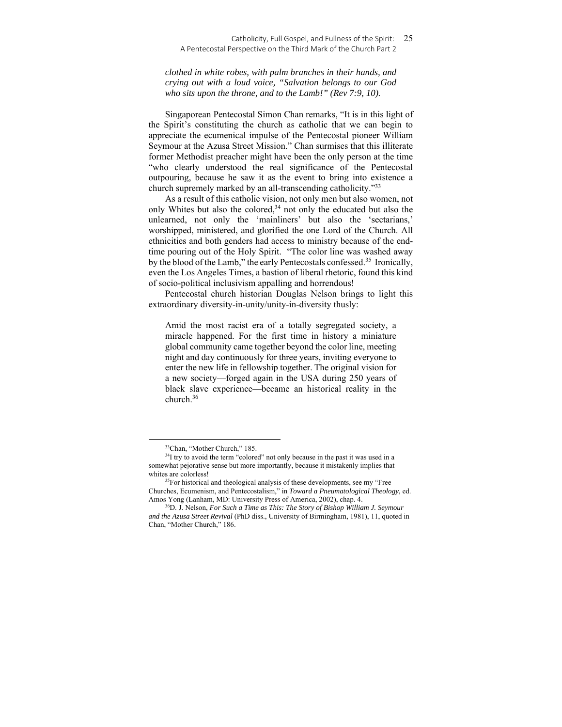#### Catholicity, Full Gospel, and Fullness of the Spirit: 25 A Pentecostal Perspective on the Third Mark of the Church Part 2

*clothed in white robes, with palm branches in their hands, and crying out with a loud voice, "Salvation belongs to our God who sits upon the throne, and to the Lamb!" (Rev 7:9, 10).*

Singaporean Pentecostal Simon Chan remarks, "It is in this light of the Spirit's constituting the church as catholic that we can begin to appreciate the ecumenical impulse of the Pentecostal pioneer William Seymour at the Azusa Street Mission." Chan surmises that this illiterate former Methodist preacher might have been the only person at the time "who clearly understood the real significance of the Pentecostal outpouring, because he saw it as the event to bring into existence a church supremely marked by an all-transcending catholicity."<sup>33</sup>

As a result of this catholic vision, not only men but also women, not only Whites but also the colored,<sup>34</sup> not only the educated but also the unlearned, not only the 'mainliners' but also the 'sectarians,' worshipped, ministered, and glorified the one Lord of the Church. All ethnicities and both genders had access to ministry because of the endtime pouring out of the Holy Spirit. "The color line was washed away by the blood of the Lamb," the early Pentecostals confessed.<sup>35</sup> Ironically, even the Los Angeles Times, a bastion of liberal rhetoric, found this kind of socio-political inclusivism appalling and horrendous!

Pentecostal church historian Douglas Nelson brings to light this extraordinary diversity-in-unity/unity-in-diversity thusly:

Amid the most racist era of a totally segregated society, a miracle happened. For the first time in history a miniature global community came together beyond the color line, meeting night and day continuously for three years, inviting everyone to enter the new life in fellowship together. The original vision for a new society—forged again in the USA during 250 years of black slave experience—became an historical reality in the church.36

<sup>33</sup>Chan, "Mother Church," 185.

<sup>&</sup>lt;sup>34</sup>I try to avoid the term "colored" not only because in the past it was used in a somewhat pejorative sense but more importantly, because it mistakenly implies that whites are colorless!<br><sup>35</sup>For historical and theological analysis of these developments, see my "Free

Churches, Ecumenism, and Pentecostalism," in *Toward a Pneumatological Theology,* ed. Amos Yong (Lanham, MD: University Press of America, 2002), chap. 4. 36D. J. Nelson, *For Such a Time as This: The Story of Bishop William J. Seymour* 

*and the Azusa Street Revival* (PhD diss., University of Birmingham, 1981), 11, quoted in Chan, "Mother Church," 186.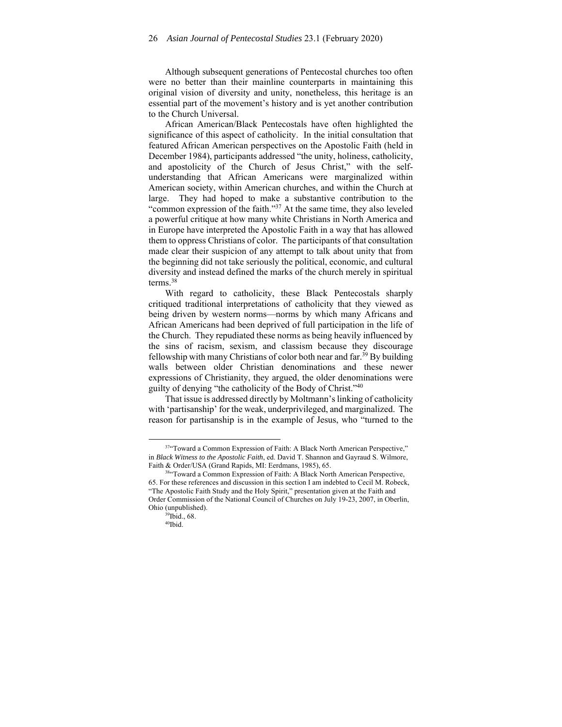Although subsequent generations of Pentecostal churches too often were no better than their mainline counterparts in maintaining this original vision of diversity and unity, nonetheless, this heritage is an essential part of the movement's history and is yet another contribution to the Church Universal.

African American/Black Pentecostals have often highlighted the significance of this aspect of catholicity. In the initial consultation that featured African American perspectives on the Apostolic Faith (held in December 1984), participants addressed "the unity, holiness, catholicity, and apostolicity of the Church of Jesus Christ," with the selfunderstanding that African Americans were marginalized within American society, within American churches, and within the Church at large. They had hoped to make a substantive contribution to the "common expression of the faith."37 At the same time, they also leveled a powerful critique at how many white Christians in North America and in Europe have interpreted the Apostolic Faith in a way that has allowed them to oppress Christians of color. The participants of that consultation made clear their suspicion of any attempt to talk about unity that from the beginning did not take seriously the political, economic, and cultural diversity and instead defined the marks of the church merely in spiritual terms.38

With regard to catholicity, these Black Pentecostals sharply critiqued traditional interpretations of catholicity that they viewed as being driven by western norms—norms by which many Africans and African Americans had been deprived of full participation in the life of the Church. They repudiated these norms as being heavily influenced by the sins of racism, sexism, and classism because they discourage fellowship with many Christians of color both near and far.39 By building walls between older Christian denominations and these newer expressions of Christianity, they argued, the older denominations were guilty of denying "the catholicity of the Body of Christ."40

That issue is addressed directly by Moltmann's linking of catholicity with 'partisanship' for the weak, underprivileged, and marginalized. The reason for partisanship is in the example of Jesus, who "turned to the

<sup>&</sup>lt;sup>37</sup>"Toward a Common Expression of Faith: A Black North American Perspective," in *Black Witness to the Apostolic Faith*, ed. David T. Shannon and Gayraud S. Wilmore, Faith & Order/USA (Grand Rapids, MI: Eerdmans, 1985), 65. 38"Toward a Common Expression of Faith: A Black North American Perspective,

<sup>65.</sup> For these references and discussion in this section I am indebted to Cecil M. Robeck, "The Apostolic Faith Study and the Holy Spirit," presentation given at the Faith and Order Commission of the National Council of Churches on July 19-23, 2007, in Oberlin, Ohio (unpublished). 39Ibid., 68.

<sup>40</sup>Ibid.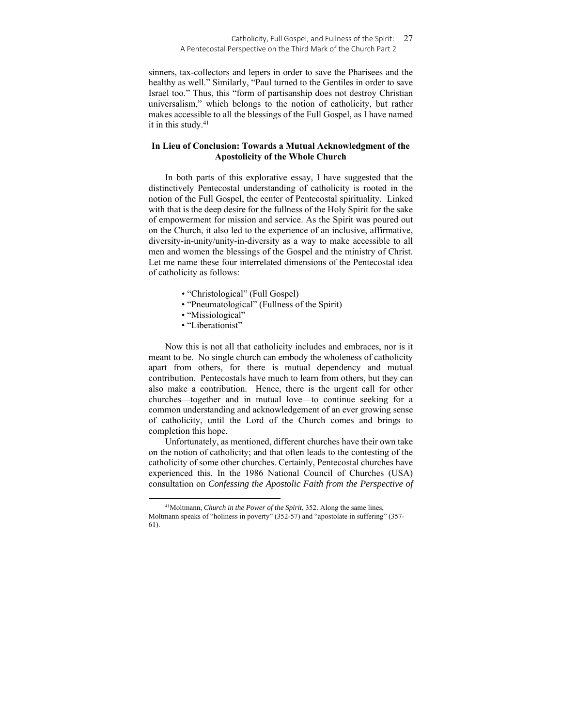#### Catholicity, Full Gospel, and Fullness of the Spirit: 27 A Pentecostal Perspective on the Third Mark of the Church Part 2

sinners, tax-collectors and lepers in order to save the Pharisees and the healthy as well." Similarly, "Paul turned to the Gentiles in order to save Israel too." Thus, this "form of partisanship does not destroy Christian universalism," which belongs to the notion of catholicity, but rather makes accessible to all the blessings of the Full Gospel, as I have named it in this study.<sup>41</sup>

## **In Lieu of Conclusion: Towards a Mutual Acknowledgment of the Apostolicity of the Whole Church**

In both parts of this explorative essay, I have suggested that the distinctively Pentecostal understanding of catholicity is rooted in the notion of the Full Gospel, the center of Pentecostal spirituality. Linked with that is the deep desire for the fullness of the Holy Spirit for the sake of empowerment for mission and service. As the Spirit was poured out on the Church, it also led to the experience of an inclusive, affirmative, diversity-in-unity/unity-in-diversity as a way to make accessible to all men and women the blessings of the Gospel and the ministry of Christ. Let me name these four interrelated dimensions of the Pentecostal idea of catholicity as follows:

- "Christological" (Full Gospel)
- "Pneumatological" (Fullness of the Spirit)
- "Missiological"
- "Liberationist"

Now this is not all that catholicity includes and embraces, nor is it meant to be. No single church can embody the wholeness of catholicity apart from others, for there is mutual dependency and mutual contribution. Pentecostals have much to learn from others, but they can also make a contribution. Hence, there is the urgent call for other churches—together and in mutual love—to continue seeking for a common understanding and acknowledgement of an ever growing sense of catholicity, until the Lord of the Church comes and brings to completion this hope.

Unfortunately, as mentioned, different churches have their own take on the notion of catholicity; and that often leads to the contesting of the catholicity of some other churches. Certainly, Pentecostal churches have experienced this. In the 1986 National Council of Churches (USA) consultation on *Confessing the Apostolic Faith from the Perspective of* 

<sup>41</sup>Moltmann, *Church in the Power of the Spirit*, 352. Along the same lines, Moltmann speaks of "holiness in poverty" (352-57) and "apostolate in suffering" (357- 61).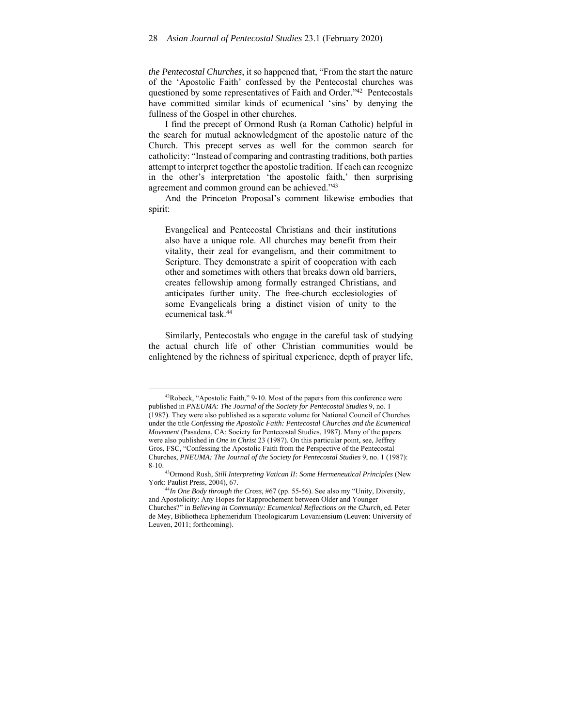*the Pentecostal Churches*, it so happened that, "From the start the nature of the 'Apostolic Faith' confessed by the Pentecostal churches was questioned by some representatives of Faith and Order."42 Pentecostals have committed similar kinds of ecumenical 'sins' by denying the fullness of the Gospel in other churches.

I find the precept of Ormond Rush (a Roman Catholic) helpful in the search for mutual acknowledgment of the apostolic nature of the Church. This precept serves as well for the common search for catholicity: "Instead of comparing and contrasting traditions, both parties attempt to interpret together the apostolic tradition. If each can recognize in the other's interpretation 'the apostolic faith,' then surprising agreement and common ground can be achieved."43

And the Princeton Proposal's comment likewise embodies that spirit:

Evangelical and Pentecostal Christians and their institutions also have a unique role. All churches may benefit from their vitality, their zeal for evangelism, and their commitment to Scripture. They demonstrate a spirit of cooperation with each other and sometimes with others that breaks down old barriers, creates fellowship among formally estranged Christians, and anticipates further unity. The free-church ecclesiologies of some Evangelicals bring a distinct vision of unity to the ecumenical task.44

Similarly, Pentecostals who engage in the careful task of studying the actual church life of other Christian communities would be enlightened by the richness of spiritual experience, depth of prayer life,

<sup>42</sup>Robeck, "Apostolic Faith," 9-10. Most of the papers from this conference were published in *PNEUMA: The Journal of the Society for Pentecostal Studies* 9, no. 1 (1987). They were also published as a separate volume for National Council of Churches under the title *Confessing the Apostolic Faith: Pentecostal Churches and the Ecumenical Movement* (Pasadena, CA: Society for Pentecostal Studies, 1987). Many of the papers were also published in *One in Christ* 23 (1987). On this particular point, see, Jeffrey Gros, FSC, "Confessing the Apostolic Faith from the Perspective of the Pentecostal Churches, *PNEUMA: The Journal of the Society for Pentecostal Studies* 9, no. 1 (1987):

<sup>8-10. 43</sup>Ormond Rush, *Still Interpreting Vatican II: Some Hermeneutical Principles* (New

York: Paulist Press, 2004), 67. 44*In One Body through the Cross*, #67 (pp. 55-56). See also my "Unity, Diversity, and Apostolicity: Any Hopes for Rapprochement between Older and Younger Churches?" in *Believing in Community: Ecumenical Reflections on the Church*, ed. Peter de Mey, Bibliotheca Ephemeridum Theologicarum Lovaniensium (Leuven: University of Leuven, 2011; forthcoming).